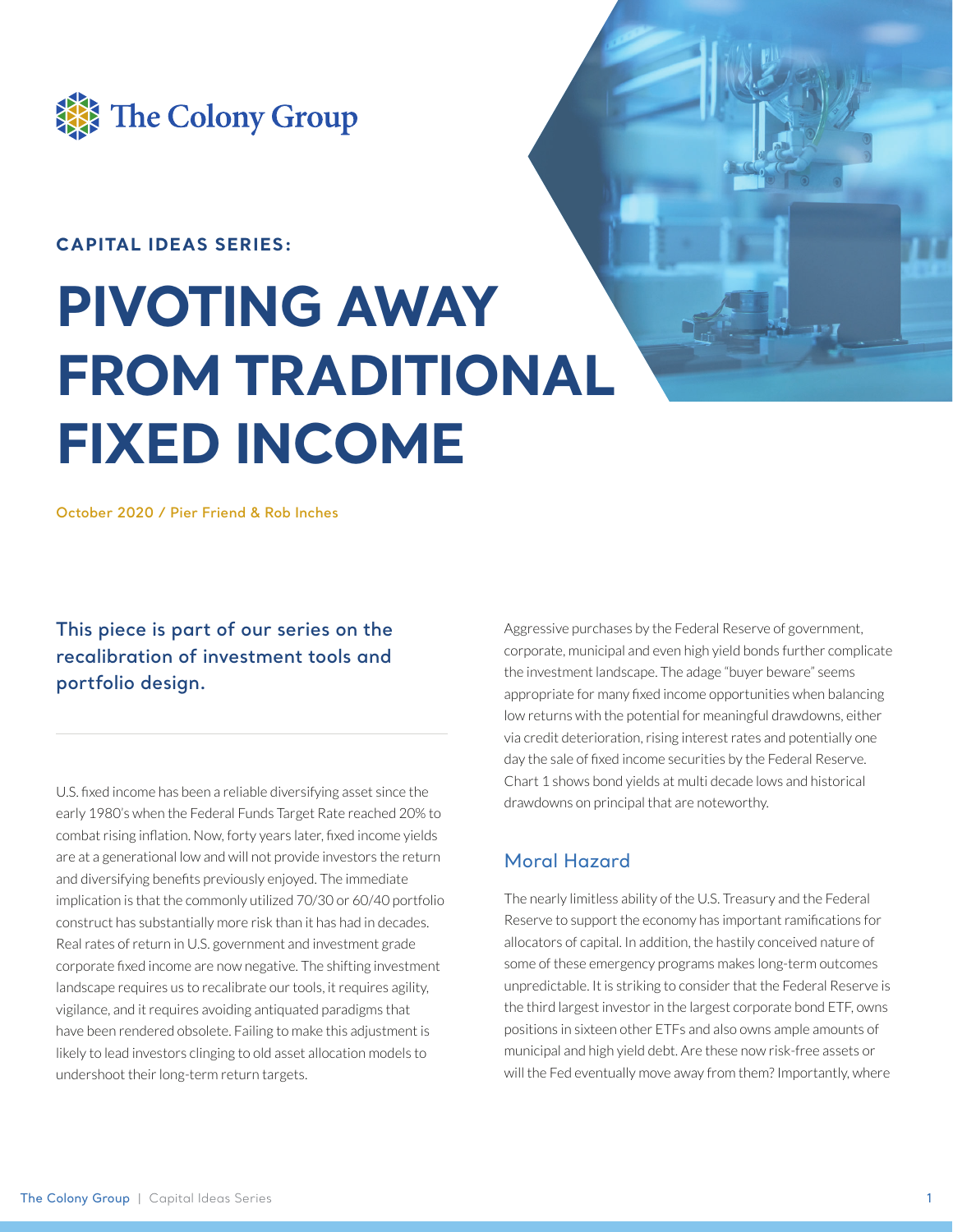

### **CAPITAL IDEAS SERIES:**

# **PIVOTING AWAY FROM TRADITIONAL FIXED INCOME**

**October 2020 / Pier Friend & Rob Inches**

**This piece is part of our series on the recalibration of investment tools and portfolio design.** 

U.S. fixed income has been a reliable diversifying asset since the early 1980's when the Federal Funds Target Rate reached 20% to combat rising inflation. Now, forty years later, fixed income yields are at a generational low and will not provide investors the return and diversifying benefits previously enjoyed. The immediate implication is that the commonly utilized 70/30 or 60/40 portfolio construct has substantially more risk than it has had in decades. Real rates of return in U.S. government and investment grade corporate fixed income are now negative. The shifting investment landscape requires us to recalibrate our tools, it requires agility, vigilance, and it requires avoiding antiquated paradigms that have been rendered obsolete. Failing to make this adjustment is likely to lead investors clinging to old asset allocation models to undershoot their long-term return targets.

Aggressive purchases by the Federal Reserve of government, corporate, municipal and even high yield bonds further complicate the investment landscape. The adage "buyer beware" seems appropriate for many fixed income opportunities when balancing low returns with the potential for meaningful drawdowns, either via credit deterioration, rising interest rates and potentially one day the sale of fixed income securities by the Federal Reserve. Chart 1 shows bond yields at multi decade lows and historical drawdowns on principal that are noteworthy.

### Moral Hazard

The nearly limitless ability of the U.S. Treasury and the Federal Reserve to support the economy has important ramifications for allocators of capital. In addition, the hastily conceived nature of some of these emergency programs makes long-term outcomes unpredictable. It is striking to consider that the Federal Reserve is the third largest investor in the largest corporate bond ETF, owns positions in sixteen other ETFs and also owns ample amounts of municipal and high yield debt. Are these now risk-free assets or will the Fed eventually move away from them? Importantly, where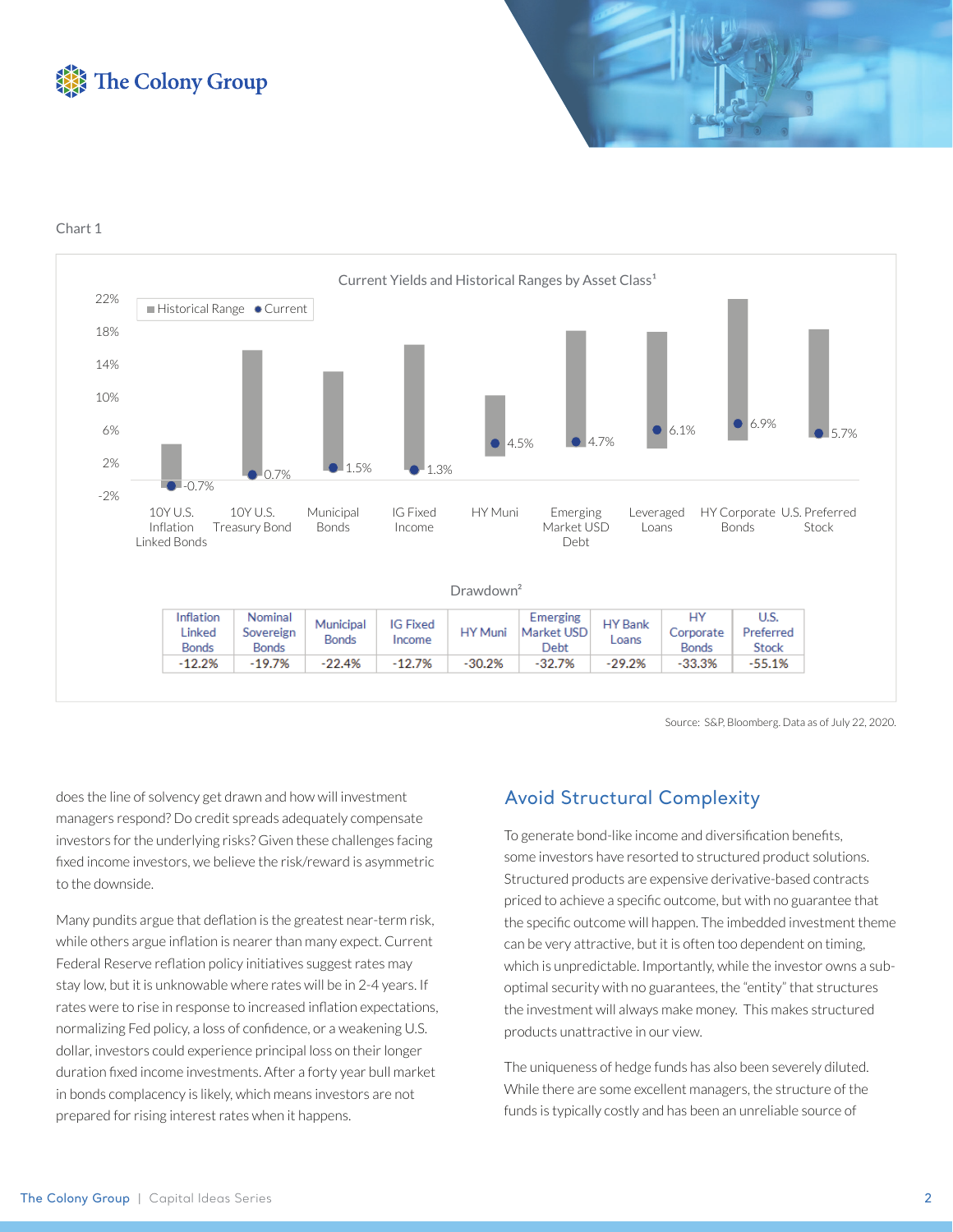



Chart 1



Source: S&P, Bloomberg. Data as of July 22, 2020.

does the line of solvency get drawn and how will investment managers respond? Do credit spreads adequately compensate investors for the underlying risks? Given these challenges facing fixed income investors, we believe the risk/reward is asymmetric to the downside.

Many pundits argue that deflation is the greatest near-term risk, while others argue inflation is nearer than many expect. Current Federal Reserve reflation policy initiatives suggest rates may stay low, but it is unknowable where rates will be in 2-4 years. If rates were to rise in response to increased inflation expectations, normalizing Fed policy, a loss of confidence, or a weakening U.S. dollar, investors could experience principal loss on their longer duration fixed income investments. After a forty year bull market in bonds complacency is likely, which means investors are not prepared for rising interest rates when it happens.

### Avoid Structural Complexity

To generate bond-like income and diversification benefits, some investors have resorted to structured product solutions. Structured products are expensive derivative-based contracts priced to achieve a specific outcome, but with no guarantee that the specific outcome will happen. The imbedded investment theme can be very attractive, but it is often too dependent on timing, which is unpredictable. Importantly, while the investor owns a suboptimal security with no guarantees, the "entity" that structures the investment will always make money. This makes structured products unattractive in our view.

The uniqueness of hedge funds has also been severely diluted. While there are some excellent managers, the structure of the funds is typically costly and has been an unreliable source of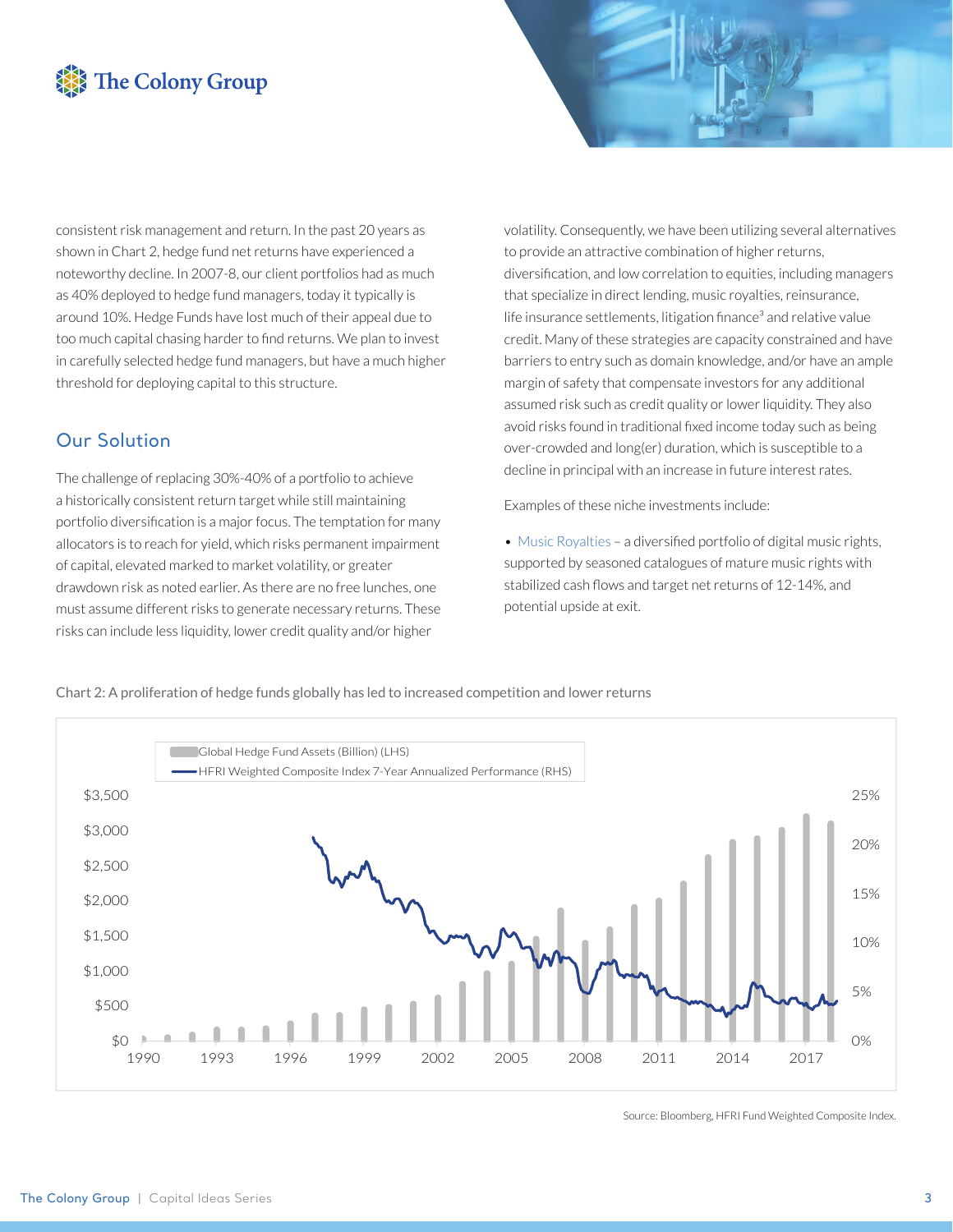# The Colony Group

consistent risk management and return. In the past 20 years as shown in Chart 2, hedge fund net returns have experienced a noteworthy decline. In 2007-8, our client portfolios had as much as 40% deployed to hedge fund managers, today it typically is around 10%. Hedge Funds have lost much of their appeal due to too much capital chasing harder to find returns. We plan to invest in carefully selected hedge fund managers, but have a much higher threshold for deploying capital to this structure.

### Our Solution

The challenge of replacing 30%-40% of a portfolio to achieve a historically consistent return target while still maintaining portfolio diversification is a major focus. The temptation for many allocators is to reach for yield, which risks permanent impairment of capital, elevated marked to market volatility, or greater drawdown risk as noted earlier. As there are no free lunches, one must assume different risks to generate necessary returns. These risks can include less liquidity, lower credit quality and/or higher

volatility. Consequently, we have been utilizing several alternatives to provide an attractive combination of higher returns, diversification, and low correlation to equities, including managers that specialize in direct lending, music royalties, reinsurance, life insurance settlements, litigation finance<sup>3</sup> and relative value credit. Many of these strategies are capacity constrained and have barriers to entry such as domain knowledge, and/or have an ample margin of safety that compensate investors for any additional assumed risk such as credit quality or lower liquidity. They also avoid risks found in traditional fixed income today such as being over-crowded and long(er) duration, which is susceptible to a decline in principal with an increase in future interest rates.

Examples of these niche investments include:

 $\bullet$  Music Royalties – a diversified portfolio of digital music rights, supported by seasoned catalogues of mature music rights with stabilized cash flows and target net returns of 12-14%, and potential upside at exit.

Chart 2: A proliferation of hedge funds globally has led to increased competition and lower returns



Source: Bloomberg, HFRI Fund Weighted Composite Index.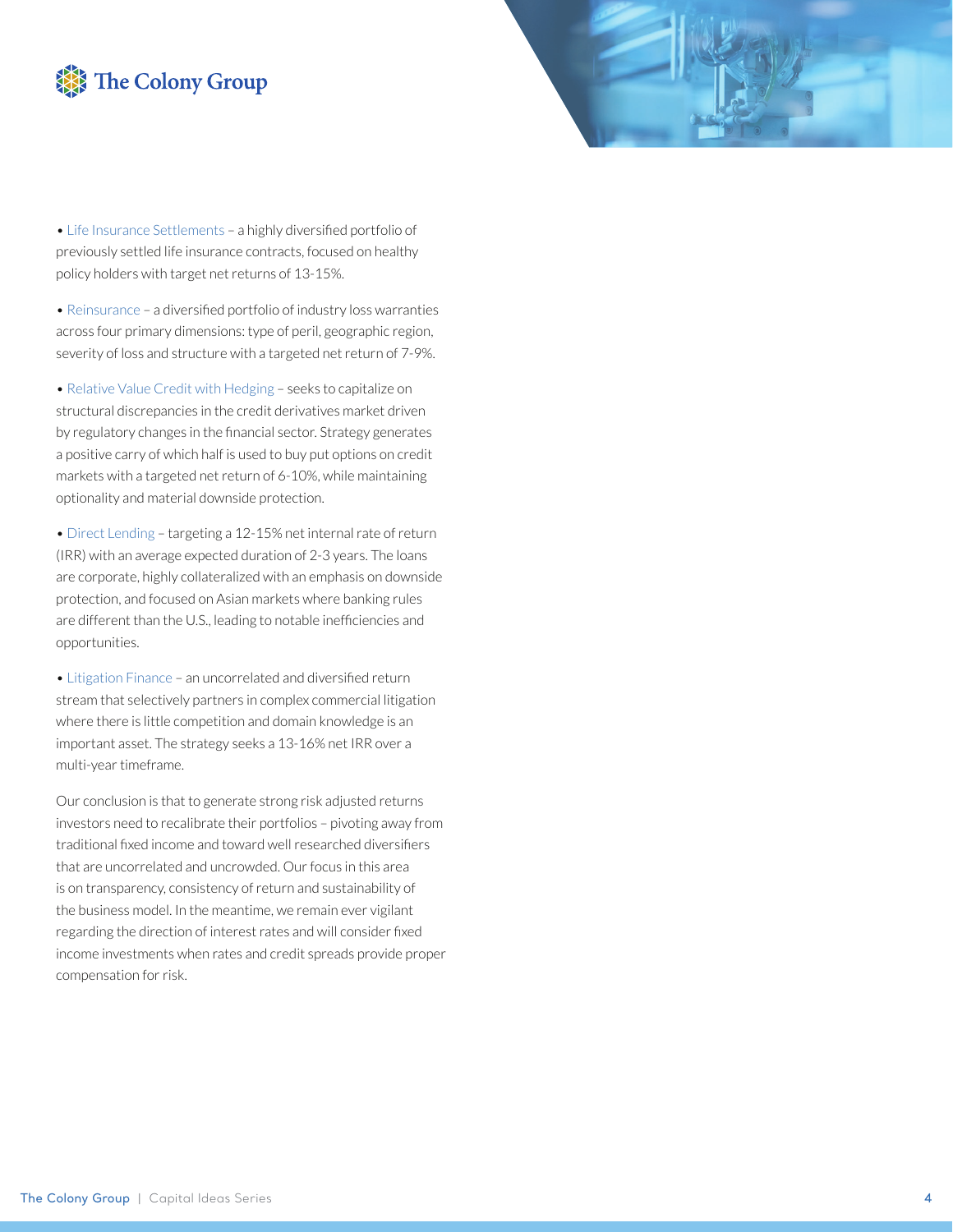## The Colony Group



• Life Insurance Settlements - a highly diversified portfolio of previously settled life insurance contracts, focused on healthy policy holders with target net returns of 13-15%.

• Reinsurance - a diversified portfolio of industry loss warranties across four primary dimensions: type of peril, geographic region, severity of loss and structure with a targeted net return of 7-9%.

• Relative Value Credit with Hedging – seeks to capitalize on structural discrepancies in the credit derivatives market driven by regulatory changes in the financial sector. Strategy generates a positive carry of which half is used to buy put options on credit markets with a targeted net return of 6-10%, while maintaining optionality and material downside protection.

• Direct Lending – targeting a 12-15% net internal rate of return (IRR) with an average expected duration of 2-3 years. The loans are corporate, highly collateralized with an emphasis on downside protection, and focused on Asian markets where banking rules are different than the U.S., leading to notable inefficiencies and opportunities.

• Litigation Finance - an uncorrelated and diversified return stream that selectively partners in complex commercial litigation where there is little competition and domain knowledge is an important asset. The strategy seeks a 13-16% net IRR over a multi-year timeframe.

Our conclusion is that to generate strong risk adjusted returns investors need to recalibrate their portfolios – pivoting away from traditional fixed income and toward well researched diversifiers that are uncorrelated and uncrowded. Our focus in this area is on transparency, consistency of return and sustainability of the business model. In the meantime, we remain ever vigilant regarding the direction of interest rates and will consider fixed income investments when rates and credit spreads provide proper compensation for risk.